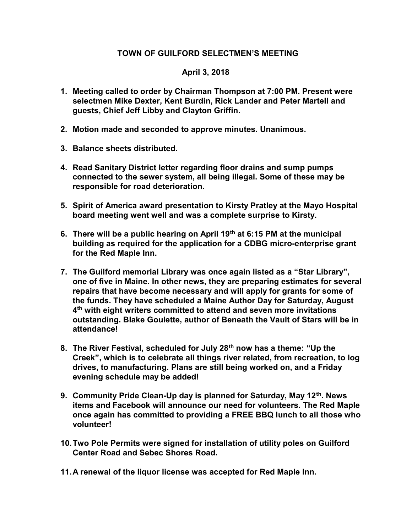## TOWN OF GUILFORD SELECTMEN'S MEETING

## April 3, 2018

- 1. Meeting called to order by Chairman Thompson at 7:00 PM. Present were selectmen Mike Dexter, Kent Burdin, Rick Lander and Peter Martell and guests, Chief Jeff Libby and Clayton Griffin.
- 2. Motion made and seconded to approve minutes. Unanimous.
- 3. Balance sheets distributed.
- 4. Read Sanitary District letter regarding floor drains and sump pumps connected to the sewer system, all being illegal. Some of these may be responsible for road deterioration.
- 5. Spirit of America award presentation to Kirsty Pratley at the Mayo Hospital board meeting went well and was a complete surprise to Kirsty.
- 6. There will be a public hearing on April 19<sup>th</sup> at 6:15 PM at the municipal building as required for the application for a CDBG micro-enterprise grant for the Red Maple Inn.
- 7. The Guilford memorial Library was once again listed as a "Star Library", one of five in Maine. In other news, they are preparing estimates for several repairs that have become necessary and will apply for grants for some of the funds. They have scheduled a Maine Author Day for Saturday, August 4<sup>th</sup> with eight writers committed to attend and seven more invitations outstanding. Blake Goulette, author of Beneath the Vault of Stars will be in attendance!
- 8. The River Festival, scheduled for July 28<sup>th</sup> now has a theme: "Up the Creek", which is to celebrate all things river related, from recreation, to log drives, to manufacturing. Plans are still being worked on, and a Friday evening schedule may be added!
- 9. Community Pride Clean-Up day is planned for Saturday, May 12<sup>th</sup>. News items and Facebook will announce our need for volunteers. The Red Maple once again has committed to providing a FREE BBQ lunch to all those who volunteer!
- 10. Two Pole Permits were signed for installation of utility poles on Guilford Center Road and Sebec Shores Road.
- 11. A renewal of the liquor license was accepted for Red Maple Inn.